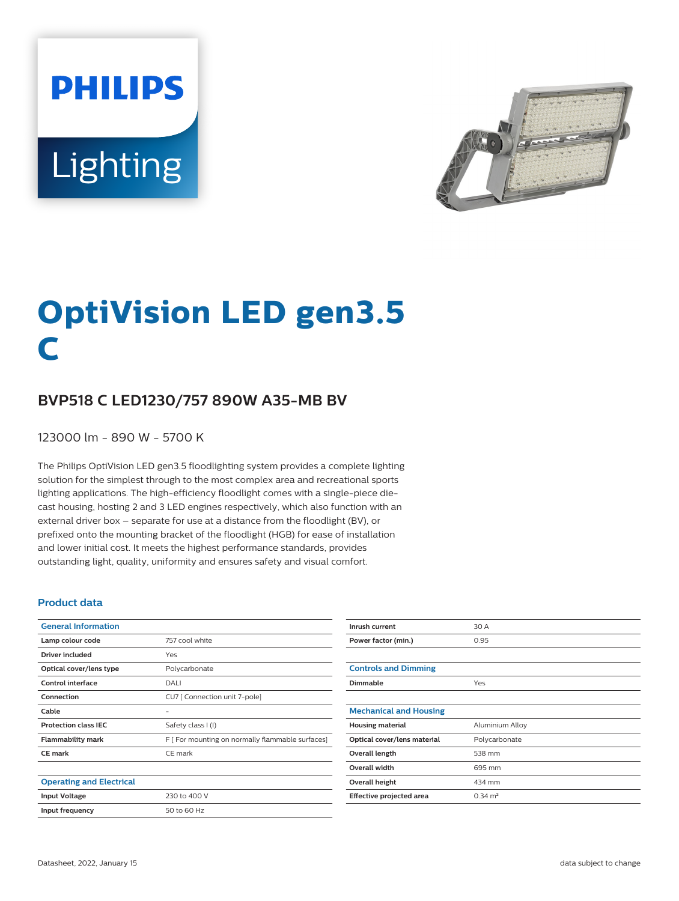**PHILIPS** Lighting



# **OptiVision LED gen3.5 C**

## **BVP518 C LED1230/757 890W A35-MB BV**

123000 lm - 890 W - 5700 K

The Philips OptiVision LED gen3.5 floodlighting system provides a complete lighting solution for the simplest through to the most complex area and recreational sports lighting applications. The high-efficiency floodlight comes with a single-piece diecast housing, hosting 2 and 3 LED engines respectively, which also function with an external driver box – separate for use at a distance from the floodlight (BV), or prefixed onto the mounting bracket of the floodlight (HGB) for ease of installation and lower initial cost. It meets the highest performance standards, provides outstanding light, quality, uniformity and ensures safety and visual comfort.

#### **Product data**

| <b>General Information</b>      |                                                  |
|---------------------------------|--------------------------------------------------|
| Lamp colour code                | 757 cool white                                   |
| Driver included                 | Yes                                              |
| Optical cover/lens type         | Polycarbonate                                    |
| <b>Control interface</b>        | DALI                                             |
| Connection                      | CU7 [ Connection unit 7-pole]                    |
| Cable                           |                                                  |
| <b>Protection class IEC</b>     | Safety class I (I)                               |
| <b>Flammability mark</b>        | F [ For mounting on normally flammable surfaces] |
| <b>CE</b> mark                  | CE mark                                          |
|                                 |                                                  |
| <b>Operating and Electrical</b> |                                                  |
| <b>Input Voltage</b>            | 230 to 400 V                                     |
| Input frequency                 | 50 to 60 Hz                                      |

| Inrush current                | 30 A               |
|-------------------------------|--------------------|
| Power factor (min.)           | 0.95               |
|                               |                    |
| <b>Controls and Dimming</b>   |                    |
| Dimmable                      | Yes                |
|                               |                    |
| <b>Mechanical and Housing</b> |                    |
| <b>Housing material</b>       | Aluminium Alloy    |
| Optical cover/lens material   | Polycarbonate      |
| Overall length                | 538 mm             |
| <b>Overall width</b>          | 695 mm             |
| <b>Overall height</b>         | 434 mm             |
| Effective projected area      | $0.34 \text{ m}^2$ |